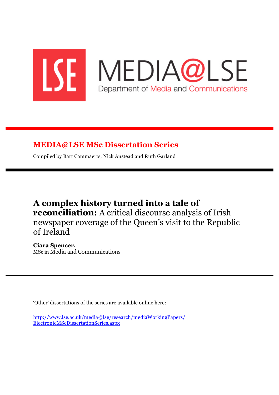

# **MEDIA@LSE MSc Dissertation Series**

Compiled by Bart Cammaerts, Nick Anstead and Ruth Garland

# **A complex history turned into a tale of reconciliation:** A critical discourse analysis of Irish newspaper coverage of the Queen's visit to the Republic of Ireland

**Ciara Spencer,** MSc in Media and Communications

'Other' dissertations of the series are available online here:

http://www.lse.ac.uk/media@lse/research/mediaWorkingPapers/ ElectronicMScDissertationSeries.aspx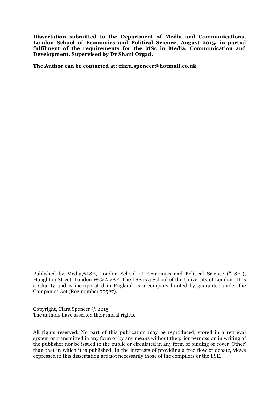**Dissertation submitted to the Department of Media and Communications, London School of Economics and Political Science, August 2015, in partial fulfilment of the requirements for the MSc in Media, Communication and Development. Supervised by Dr Shani Orgad.**

**The Author can be contacted at: ciara.spencer@hotmail.co.uk**

Published by Media@LSE, London School of Economics and Political Science ("LSE"), Houghton Street, London WC2A 2AE. The LSE is a School of the University of London. It is a Charity and is incorporated in England as a company limited by guarantee under the Companies Act (Reg number 70527).

Copyright, Ciara Spencer © 2015. The authors have asserted their moral rights.

All rights reserved. No part of this publication may be reproduced, stored in a retrieval system or transmitted in any form or by any means without the prior permission in writing of the publisher nor be issued to the public or circulated in any form of binding or cover 'Other' than that in which it is published. In the interests of providing a free flow of debate, views expressed in this dissertation are not necessarily those of the compilers or the LSE.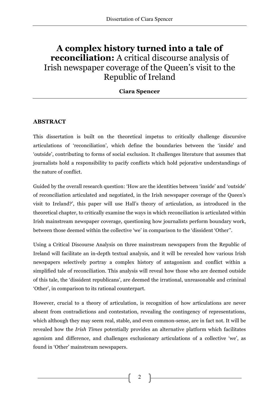# **A complex history turned into a tale of reconciliation:** A critical discourse analysis of Irish newspaper coverage of the Queen's visit to the Republic of Ireland

**Ciara Spencer**

# **ABSTRACT**

This dissertation is built on the theoretical impetus to critically challenge discursive articulations of 'reconciliation', which define the boundaries between the 'inside' and 'outside', contributing to forms of social exclusion. It challenges literature that assumes that journalists hold a responsibility to pacify conflicts which hold pejorative understandings of the nature of conflict.

Guided by the overall research question: 'How are the identities between 'inside' and 'outside' of reconciliation articulated and negotiated, in the Irish newspaper coverage of the Queen's visit to Ireland?', this paper will use Hall's theory of articulation, as introduced in the theoretical chapter, to critically examine the ways in which reconciliation is articulated within Irish mainstream newspaper coverage, questioning how journalists perform boundary work, between those deemed within the collective 'we' in comparison to the 'dissident 'Other''.

Using a Critical Discourse Analysis on three mainstream newspapers from the Republic of Ireland will facilitate an in-depth textual analysis, and it will be revealed how various Irish newspapers selectively portray a complex history of antagonism and conflict within a simplified tale of reconciliation. This analysis will reveal how those who are deemed outside of this tale, the 'dissident republicans', are deemed the irrational, unreasonable and criminal 'Other', in comparison to its rational counterpart.

However, crucial to a theory of articulation, is recognition of how articulations are never absent from contradictions and contestation, revealing the contingency of representations, which although they may seem real, stable, and even common-sense, are in fact not. It will be revealed how the *Irish Times* potentially provides an alternative platform which facilitates agonism and difference, and challenges exclusionary articulations of a collective 'we', as found in 'Other' mainstream newspapers.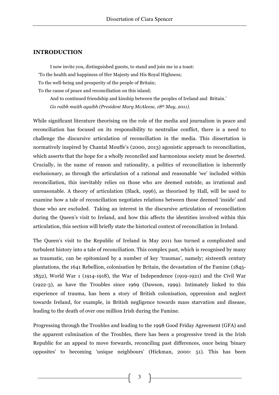#### **INTRODUCTION**

I now invite you, distinguished guests, to stand and join me in a toast: 'To the health and happiness of Her Majesty and His Royal Highness; To the well-being and prosperity of the people of Britain; To the cause of peace and reconciliation on this island;

And to continued friendship and kinship between the peoples of Ireland and Britain.' *Go raibh maith agaibh (President Mary McAleese, 18th May, 2011).*

While significant literature theorising on the role of the media and journalism in peace and reconciliation has focused on its responsibility to neutralise conflict, there is a need to challenge the discursive articulation of reconciliation in the media. This dissertation is normatively inspired by Chantal Mouffe's (2000, 2013) agonistic approach to reconciliation, which asserts that the hope for a wholly reconciled and harmonious society must be deserted. Crucially, in the name of reason and rationality, a politics of reconciliation is inherently exclusionary, as through the articulation of a rational and reasonable 'we' included within reconciliation, this inevitably relies on those who are deemed outside, as irrational and unreasonable. A theory of articulation (Slack, 1996), as theorised by Hall, will be used to examine how a tale of reconciliation negotiates relations between those deemed 'inside' and those who are excluded. Taking an interest in the discursive articulation of reconciliation during the Queen's visit to Ireland, and how this affects the identities involved within this articulation, this section will briefly state the historical context of reconciliation in Ireland.

The Queen's visit to the Republic of Ireland in May 2011 has turned a complicated and turbulent history into a tale of reconciliation. This complex past, which is recognised by many as traumatic, can be epitomized by a number of key 'traumas', namely; sixteenth century plantations, the 1641 Rebellion, colonisation by Britain, the devastation of the Famine (1845- 1852), World War 1 (1914-1918), the War of Independence (1919-1921) and the Civil War (1922-3), as have the Troubles since 1969 (Dawson, 1999). Intimately linked to this experience of trauma, has been a story of British colonisation, oppression and neglect towards Ireland, for example, in British negligence towards mass starvation and disease, leading to the death of over one million Irish during the Famine.

Progressing through the Troubles and leading to the 1998 Good Friday Agreement (GFA) and the apparent culmination of the Troubles, there has been a progressive trend in the Irish Republic for an appeal to move forwards, reconciling past differences, once being 'binary opposites' to becoming 'unique neighbours' (Hickman, 2000: 51). This has been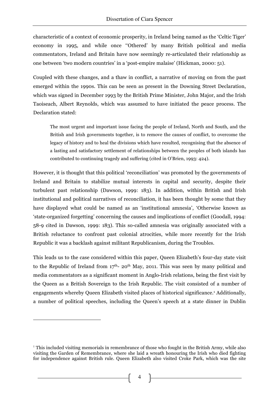characteristic of a context of economic prosperity, in Ireland being named as the 'Celtic Tiger' economy in 1995, and while once ''Othered' by many British political and media commentators, Ireland and Britain have now seemingly re-articulated their relationship as one between 'two modern countries' in a 'post-empire malaise' (Hickman, 2000: 51).

Coupled with these changes, and a thaw in conflict, a narrative of moving on from the past emerged within the 1990s. This can be seen as present in the Downing Street Declaration, which was signed in December 1993 by the British Prime Minister, John Major, and the Irish Taoiseach, Albert Reynolds, which was assumed to have initiated the peace process. The Declaration stated:

The most urgent and important issue facing the people of Ireland, North and South, and the British and Irish governments together, is to remove the causes of conflict, to overcome the legacy of history and to heal the divisions which have resulted, recognising that the absence of a lasting and satisfactory settlement of relationships between the peoples of both islands has contributed to continuing tragedy and suffering (cited in O'Brien, 1993: 424).

However, it is thought that this political 'reconciliation' was promoted by the governments of Ireland and Britain to stabilize mutual interests in capital and security, despite their turbulent past relationship (Dawson, 1999: 183). In addition, within British and Irish institutional and political narratives of reconciliation, it has been thought by some that they have displayed what could be named as an 'institutional amnesia', 'Otherwise known as 'state-organized forgetting' concerning the causes and implications of conflict (Goodall, 1994: 58-9 cited in Dawson, 1999: 183). This so-called amnesia was originally associated with a British reluctance to confront past colonial atrocities, while more recently for the Irish Republic it was a backlash against militant Republicanism, during the Troubles.

This leads us to the case considered within this paper, Queen Elizabeth's four-day state visit to the Republic of Ireland from  $17<sup>th</sup>$ - 20<sup>th</sup> May, 2011. This was seen by many political and media commentators as a significant moment in Anglo-Irish relations, being the first visit by the Queen as a British Sovereign to the Irish Republic. The visit consisted of a number of engagements whereby Queen Elizabeth visited places of historical significance.<sup>1</sup> Additionally, a number of political speeches, including the Queen's speech at a state dinner in Dublin

 $\overline{a}$ 

 $<sup>1</sup>$  This included visiting memorials in remembrance of those who fought in the British Army, while also</sup> visiting the Garden of Remembrance, where she laid a wreath honouring the Irish who died fighting for independence against British rule. Queen Elizabeth also visited Croke Park, which was the site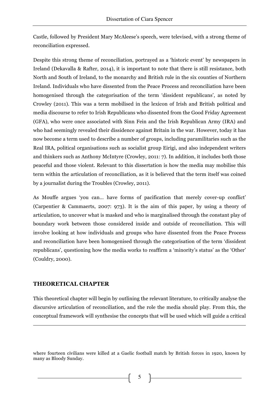Castle, followed by President Mary McAleese's speech, were televised, with a strong theme of reconciliation expressed.

Despite this strong theme of reconciliation, portrayed as a 'historic event' by newspapers in Ireland (Dekavalla & Rafter, 2014), it is important to note that there is still resistance, both North and South of Ireland, to the monarchy and British rule in the six counties of Northern Ireland. Individuals who have dissented from the Peace Process and reconciliation have been homogenised through the categorisation of the term 'dissident republicans', as noted by Crowley (2011). This was a term mobilised in the lexicon of Irish and British political and media discourse to refer to Irish Republicans who dissented from the Good Friday Agreement (GFA), who were once associated with Sinn Fein and the Irish Republican Army (IRA) and who had seemingly revealed their dissidence against Britain in the war. However, today it has now become a term used to describe a number of groups, including paramilitaries such as the Real IRA, political organisations such as socialist group Eirigi, and also independent writers and thinkers such as Anthony McIntyre (Crowley, 2011: 7). In addition, it includes both those peaceful and those violent. Relevant to this dissertation is how the media may mobilise this term within the articulation of reconciliation, as it is believed that the term itself was coined by a journalist during the Troubles (Crowley, 2011).

As Mouffe argues 'you can… have forms of pacification that merely cover-up conflict' (Carpentier & Cammaerts, 2007: 973). It is the aim of this paper, by using a theory of articulation, to uncover what is masked and who is marginalised through the constant play of boundary work between those considered inside and outside of reconciliation. This will involve looking at how individuals and groups who have dissented from the Peace Process and reconciliation have been homogenised through the categorisation of the term 'dissident republicans', questioning how the media works to reaffirm a 'minority's status' as the 'Other' (Couldry, 2000).

# **THEORETICAL CHAPTER**

<u>.</u>

This theoretical chapter will begin by outlining the relevant literature, to critically analyse the discursive articulation of reconciliation, and the role the media should play. From this, the conceptual framework will synthesise the concepts that will be used which will guide a critical

where fourteen civilians were killed at a Gaelic football match by British forces in 1920, known by many as Bloody Sunday.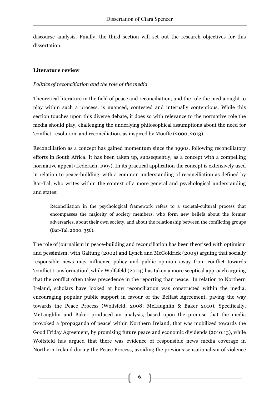discourse analysis. Finally, the third section will set out the research objectives for this dissertation.

# **Literature review**

# *Politics of reconciliation and the role of the media*

Theoretical literature in the field of peace and reconciliation, and the role the media ought to play within such a process, is nuanced, contested and internally contentious. While this section touches upon this diverse debate, it does so with relevance to the normative role the media should play, challenging the underlying philosophical assumptions about the need for 'conflict-resolution' and reconciliation, as inspired by Mouffe (2000, 2013).

Reconciliation as a concept has gained momentum since the 1990s, following reconciliatory efforts in South Africa. It has been taken up, subsequently, as a concept with a compelling normative appeal (Lederach, 1997). In its practical application the concept is extensively used in relation to peace-building, with a common understanding of reconciliation as defined by Bar-Tal, who writes within the context of a more general and psychological understanding and states:

Reconciliation in the psychological framework refers to a societal-cultural process that encompasses the majority of society members, who form new beliefs about the former adversaries, about their own society, and about the relationship between the conflicting groups (Bar-Tal, 2000: 356).

The role of journalism in peace-building and reconciliation has been theorised with optimism and pessimism, with Galtung (2002) and Lynch and McGoldrick (2005) arguing that socially responsible news may influence policy and public opinion away from conflict towards 'conflict transformation', while Wolfsfeld (2004) has taken a more sceptical approach arguing that the conflict often takes precedence in the reporting than peace. In relation to Northern Ireland, scholars have looked at how reconciliation was constructed within the media, encouraging popular public support in favour of the Belfast Agreement, paving the way towards the Peace Process (Wolfsfeld, 2008; McLaughlin & Baker 2010). Specifically, McLaughlin and Baker produced an analysis, based upon the premise that the media provoked a 'propaganda of peace' within Northern Ireland, that was mobilized towards the Good Friday Agreement, by promising future peace and economic dividends (2010:13), while Wolfsfeld has argued that there was evidence of responsible news media coverage in Northern Ireland during the Peace Process, avoiding the previous sensationalism of violence

<sup>6</sup>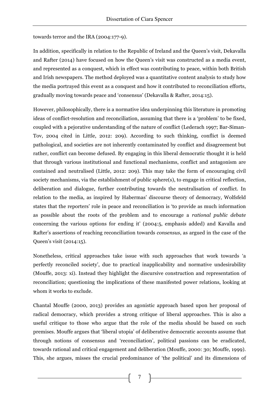towards terror and the IRA (2004:177-9).

In addition, specifically in relation to the Republic of Ireland and the Queen's visit, Dekavalla and Rafter (2014) have focused on how the Queen's visit was constructed as a media event, and represented as a conquest, which in effect was contributing to peace, within both British and Irish newspapers. The method deployed was a quantitative content analysis to study how the media portrayed this event as a conquest and how it contributed to reconciliation efforts, gradually moving towards peace and 'consensus' (Dekavalla & Rafter, 2014:15).

However, philosophically, there is a normative idea underpinning this literature in promoting ideas of conflict-resolution and reconciliation, assuming that there is a 'problem' to be fixed, coupled with a pejorative understanding of the nature of conflict (Lederach 1997; Bar-Siman-Tov, 2004 cited in Little, 2012: 209). According to such thinking, conflict is deemed pathological, and societies are not inherently contaminated by conflict and disagreement but rather, conflict can become defused. By engaging in this liberal democratic thought it is held that through various institutional and functional mechanisms, conflict and antagonism are contained and neutralised (Little, 2012: 209). This may take the form of encouraging civil society mechanisms, via the establishment of public sphere(s), to engage in critical reflection, deliberation and dialogue, further contributing towards the neutralisation of conflict. In relation to the media, as inspired by Habermas' discourse theory of democracy, Wolfsfeld states that the reporters' role in peace and reconciliation is 'to provide as much information as possible about the roots of the problem and to encourage a *rational public debate* concerning the various options for ending it' (2004:5, emphasis added) and Kavalla and Rafter's assertions of reaching reconciliation towards *consensus*, as argued in the case of the Queen's visit (2014:15).

Nonetheless, critical approaches take issue with such approaches that work towards 'a perfectly reconciled society', due to practical inapplicability and normative undesirability (Mouffe, 2013: xi). Instead they highlight the discursive construction and representation of reconciliation; questioning the implications of these manifested power relations, looking at whom it works to exclude.

Chantal Mouffe (2000, 2013) provides an agonistic approach based upon her proposal of radical democracy, which provides a strong critique of liberal approaches. This is also a useful critique to those who argue that the role of the media should be based on such premises. Mouffe argues that 'liberal utopia' of deliberative democratic accounts assume that through notions of consensus and 'reconciliation', political passions can be eradicated, towards rational and critical engagement and deliberation (Mouffe, 2000: 30; Mouffe, 1999). This, she argues, misses the crucial predominance of 'the political' and its dimensions of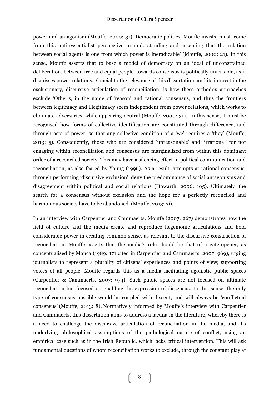power and antagonism (Mouffe, 2000: 31). Democratic politics, Mouffe insists, must 'come from this anti-essentialist perspective in understanding and accepting that the relation between social agents is one from which power is ineradicable' (Mouffe, 2000: 21). In this sense, Mouffe asserts that to base a model of democracy on an ideal of unconstrained deliberation, between free and equal people, towards consensus is politically unfeasible, as it dismisses power relations. Crucial to the relevance of this dissertation, and its interest in the exclusionary, discursive articulation of reconciliation, is how these orthodox approaches exclude 'Other's, in the name of 'reason' and rational consensus, and thus the frontiers between legitimacy and illegitimacy seem independent from power relations, which works to eliminate adversaries, while appearing neutral (Mouffe, 2000: 31). In this sense, it must be recognised how forms of collective identification are constituted through difference, and through acts of power, so that any collective condition of a 'we' requires a 'they' (Mouffe, 2013: 5). Consequently, those who are considered 'unreasonable' and 'irrational' for not engaging within reconciliation and consensus are marginalized from within this dominant order of a reconciled society. This may have a silencing effect in political communication and reconciliation, as also feared by Young (1996). As a result, attempts at rational consensus, through performing 'discursive exclusion', deny the predominance of social antagonisms and disagreement within political and social relations (Howarth, 2006: 105). Ultimately 'the search for a consensus without exclusion and the hope for a perfectly reconciled and harmonious society have to be abandoned' (Mouffe, 2013: xi).

In an interview with Carpentier and Cammaerts, Mouffe (2007: 267) demonstrates how the field of culture and the media create and reproduce hegemonic articulations and hold considerable power in creating common sense, as relevant to the discursive construction of reconciliation. Mouffe asserts that the media's role should be that of a gate-opener, as conceptualised by Manca (1989: 171 cited in Carpentier and Cammaerts, 2007: 969), urging journalists to represent a plurality of citizens' experiences and points of view; supporting voices of all people. Mouffe regards this as a media facilitating agonistic public spaces (Carpentier & Cammaerts, 2007: 974). Such public spaces are not focused on ultimate reconciliation but focused on enabling the expression of dissensus. In this sense, the only type of consensus possible would be coupled with dissent, and will always be 'conflictual consensus' (Mouffe, 2013: 8). Normatively informed by Mouffe's interview with Carpentier and Cammaerts, this dissertation aims to address a lacuna in the literature, whereby there is a need to challenge the discursive articulation of reconciliation in the media, and it's underlying philosophical assumptions of the pathological nature of conflict, using an empirical case such as in the Irish Republic, which lacks critical intervention. This will ask fundamental questions of whom reconciliation works to exclude, through the constant play at

8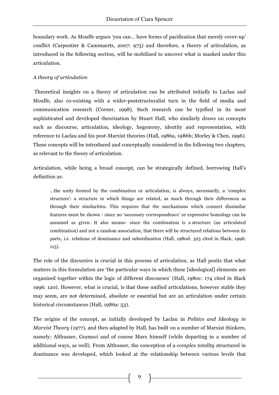boundary work. As Mouffe argues 'you can… have forms of pacification that merely cover-up' conflict (Carpentier & Cammaerts, 2007: 973) and therefore, a theory of articulation, as introduced in the following section, will be mobilized to uncover what is masked under this articulation.

# *A theory of articulation*

Theoretical insights on a theory of articulation can be attributed initially to Laclau and Mouffe, also co-existing with a wider-poststructuralist turn in the field of media and communication research (Corner, 1998). Such research can be typified in its most sophisticated and developed theorization by Stuart Hall, who similarly draws on concepts such as discourse, articulation, ideology, hegemony, identity and representation, with reference to Laclau and his post-Marxist theories (Hall, 1986a, 1986b; Morley & Chen, 1996). These concepts will be introduced and conceptually considered in the following two chapters, as relevant to the theory of articulation.

Articulation, while being a broad concept, can be strategically defined, borrowing Hall's definition as:

…the unity formed by the combination or articulation, is always, necessarily, a 'complex structure': a structure in which things are related, as much through their differences as through their similarities. This requires that the mechanisms which connect dissimilar features must be shown - since no 'necessary correspondence' or expressive homology can be assumed as given. It also means- since the combination is a structure (an articulated combination) and not a random association, that there will be structured relations between its parts, i.e. relations of dominance and subordination (Hall, 1980d: 325 cited in Slack, 1996: 115).

The role of the discursive is crucial in this process of articulation, as Hall posits that what matters in this formulation are 'the particular ways in which these [ideological] elements are organized together within the logic of different discourses' (Hall, 1980c: 174 cited in Slack 1996: 120). However, what is crucial, is that these unified articulations, however stable they may seem, are not determined, absolute or essential but are an articulation under certain historical circumstances (Hall, 1986a: 53).

The origins of the concept, as initially developed by Laclau in *Politics and Ideology in Marxist Theory* (1977), and then adapted by Hall, has built on a number of Marxist thinkers, namely; Althusser, Gramsci and of course Marx himself (while departing in a number of additional ways, as well). From Althusser, the conception of a *complex totality* structured in dominance was developed, which looked at the relationship between various levels that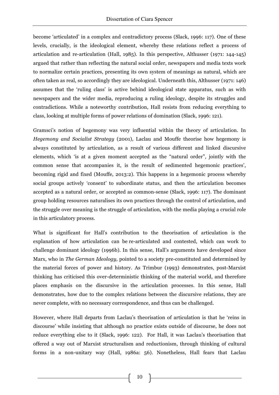become 'articulated' in a complex and contradictory process (Slack, 1996: 117). One of these levels, crucially, is the ideological element, whereby these relations reflect a process of articulation and re-articulation (Hall, 1985). In this perspective, Althusser (1971: 144-145) argued that rather than reflecting the natural social order, newspapers and media texts work to normalize certain practices, presenting its own system of meanings as natural, which are often taken as real, so accordingly they are ideological. Underneath this, Althusser (1971: 146) assumes that the 'ruling class' is active behind ideological state apparatus, such as with newspapers and the wider media, reproducing a ruling ideology, despite its struggles and contradictions. While a noteworthy contribution, Hall resists from reducing everything to class, looking at multiple forms of power relations of domination (Slack, 1996: 121).

Gramsci's notion of hegemony was very influential within the theory of articulation. In *Hegemony and Socialist Strategy* (2001), Laclau and Mouffe theorise how hegemony is always constituted by articulation, as a result of various different and linked discursive elements, which 'is at a given moment accepted as the "natural order", jointly with the common sense that accompanies it, is the result of sedimented hegemonic practices', becoming rigid and fixed (Mouffe, 2013:2). This happens in a hegemonic process whereby social groups actively 'consent' to subordinate status, and then the articulation becomes accepted as a natural order, or accepted as common-sense (Slack, 1996: 117). The dominant group holding resources naturalises its own practices through the control of articulation, and the struggle over meaning is the struggle of articulation, with the media playing a crucial role in this articulatory process.

What is significant for Hall's contribution to the theorisation of articulation is the explanation of how articulation can be re-articulated and contested, which can work to challenge dominant ideology (1996b). In this sense, Hall's arguments have developed since Marx, who in *The German Ideology,* pointed to a society pre-constituted and determined by the material forces of power and history. As Trimbur (1993) demonstrates, post-Marxist thinking has criticised this over-deterministic thinking of the material world, and therefore places emphasis on the discursive in the articulation processes. In this sense, Hall demonstrates, how due to the complex relations between the discursive relations, they are never complete, with no necessary correspondence, and thus can be challenged.

However, where Hall departs from Laclau's theorisation of articulation is that he 'reins in discourse' while insisting that although no practice exists outside of discourse, he does not reduce everything else to it (Slack, 1996: 122). For Hall, it was Laclau's theorisation that offered a way out of Marxist structuralism and reductionism, through thinking of cultural forms in a non-unitary way (Hall, 1986a: 56). Nonetheless, Hall fears that Laclau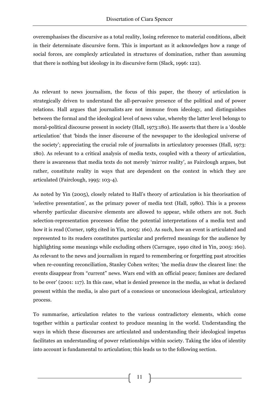overemphasises the discursive as a total reality, losing reference to material conditions, albeit in their determinate discursive form. This is important as it acknowledges how a range of social forces, are complexly articulated in structures of domination, rather than assuming that there is nothing but ideology in its discursive form (Slack, 1996: 122).

As relevant to news journalism, the focus of this paper, the theory of articulation is strategically driven to understand the all-pervasive presence of the political and of power relations. Hall argues that journalists are not immune from ideology, and distinguishes between the formal and the ideological level of news value, whereby the latter level belongs to moral-political discourse present in society (Hall, 1973:180). He asserts that there is a 'double articulation' that 'binds the inner discourse of the newspaper to the ideological universe of the society'; appreciating the crucial role of journalists in articulatory processes (Hall, 1973: 180). As relevant to a critical analysis of media texts, coupled with a theory of articulation, there is awareness that media texts do not merely 'mirror reality', as Fairclough argues, but rather, constitute reality in ways that are dependent on the context in which they are articulated (Fairclough, 1995: 103-4).

As noted by Yin (2005), closely related to Hall's theory of articulation is his theorisation of 'selective presentation', as the primary power of media text (Hall, 1980). This is a process whereby particular discursive elements are allowed to appear, while others are not. Such selection-representation processes define the potential interpretations of a media text and how it is read (Corner, 1983 cited in Yin, 2005: 160). As such, how an event is articulated and represented to its readers constitutes particular and preferred meanings for the audience by highlighting some meanings while excluding others (Carragee, 1990 cited in Yin, 2005: 160). As relevant to the news and journalism in regard to remembering or forgetting past atrocities when re-counting reconciliation, Stanley Cohen writes; 'the media draw the clearest line: the events disappear from "current" news. Wars end with an official peace; famines are declared to be over' (2001: 117). In this case, what is denied presence in the media, as what is declared present within the media, is also part of a conscious or unconscious ideological, articulatory process.

To summarise, articulation relates to the various contradictory elements, which come together within a particular context to produce meaning in the world. Understanding the ways in which these discourses are articulated and understanding their ideological impetus facilitates an understanding of power relationships within society. Taking the idea of identity into account is fundamental to articulation; this leads us to the following section.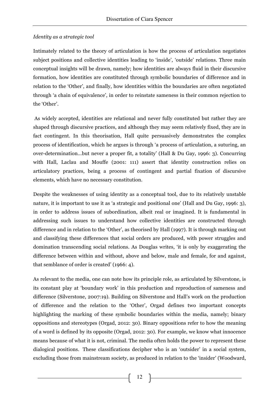### *Identity as a strategic tool*

Intimately related to the theory of articulation is how the process of articulation negotiates subject positions and collective identities leading to 'inside', 'outside' relations. Three main conceptual insights will be drawn, namely; how identities are always fluid in their discursive formation, how identities are constituted through symbolic boundaries of difference and in relation to the 'Other', and finally, how identities within the boundaries are often negotiated through 'a chain of equivalence', in order to reinstate sameness in their common rejection to the 'Other'.

As widely accepted, identities are relational and never fully constituted but rather they are shaped through discursive practices, and although they may seem relatively fixed, they are in fact contingent. In this theorisation, Hall quite persuasively demonstrates the complex process of identification, which he argues is through 'a process of articulation, a suturing, an over-determination…but never a proper fit, a totality' (Hall & Du Gay, 1996: 3). Concurring with Hall, Laclau and Mouffe (2001: 111) assert that identity construction relies on articulatory practices, being a process of contingent and partial fixation of discursive elements, which have no necessary constitution.

Despite the weaknesses of using identity as a conceptual tool, due to its relatively unstable nature, it is important to use it as 'a strategic and positional one' (Hall and Du Gay, 1996: 3), in order to address issues of subordination, albeit real or imagined. It is fundamental in addressing such issues to understand how collective identities are constructed through difference and in relation to the 'Other', as theorised by Hall (1997). It is through marking out and classifying these differences that social orders are produced, with power struggles and domination transcending social relations. As Douglas writes, 'it is only by exaggerating the difference between within and without, above and below, male and female, for and against, that semblance of order is created' (1966: 4).

As relevant to the media, one can note how its principle role, as articulated by Silverstone, is its constant play at 'boundary work' in this production and reproduction of sameness and difference (Silverstone, 2007:19). Building on Silverstone and Hall's work on the production of difference and the relation to the 'Other', Orgad defines two important concepts highlighting the marking of these symbolic boundaries within the media, namely; binary oppositions and stereotypes (Orgad, 2012: 30). Binary oppositions refer to how the meaning of a word is defined by its opposite (Orgad, 2012: 30). For example, we know what innocence means because of what it is not, criminal. The media often holds the power to represent these dialogical positions. These classifications decipher who is an 'outsider' in a social system, excluding those from mainstream society, as produced in relation to the 'insider' (Woodward,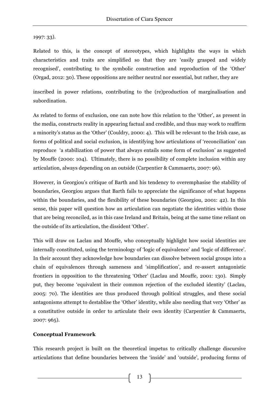1997: 33).

Related to this, is the concept of stereotypes, which highlights the ways in which characteristics and traits are simplified so that they are 'easily grasped and widely recognised', contributing to the symbolic construction and reproduction of the 'Other' (Orgad, 2012: 30). These oppositions are neither neutral nor essential, but rather, they are

inscribed in power relations, contributing to the (re)production of marginalisation and subordination.

As related to forms of exclusion, one can note how this relation to the 'Other', as present in the media, constructs reality in appearing factual and credible, and thus may work to reaffirm a minority's status as the 'Other' (Couldry, 2000: 4). This will be relevant to the Irish case, as forms of political and social exclusion, in identifying how articulations of 'reconciliation' can reproduce 'a stabilization of power that always entails some form of exclusion' as suggested by Mouffe (2000: 104). Ultimately, there is no possibility of complete inclusion within any articulation, always depending on an outside (Carpentier & Cammaerts, 2007: 96).

However, in Georgiou's critique of Barth and his tendency to overemphasise the stability of boundaries, Georgiou argues that Barth fails to appreciate the significance of what happens within the boundaries, and the flexibility of these boundaries (Georgiou, 2001: 42). In this sense, this paper will question how an articulation can negotiate the identities within those that are being reconciled, as in this case Ireland and Britain, being at the same time reliant on the outside of its articulation, the dissident 'Other'.

This will draw on Laclau and Mouffe, who conceptually highlight how social identities are internally constituted, using the terminology of 'logic of equivalence' and 'logic of difference'. In their account they acknowledge how boundaries can dissolve between social groups into a chain of equivalences through sameness and 'simplification', and re-assert antagonistic frontiers in opposition to the threatening 'Other' (Laclau and Mouffe, 2001: 130). Simply put, they become 'equivalent in their common rejection of the excluded identity' (Laclau, 2005: 70). The identities are thus produced through political struggles, and these social antagonisms attempt to destablise the 'Other' identity, while also needing that very 'Other' as a constitutive outside in order to articulate their own identity (Carpentier & Cammaerts, 2007: 965).

# **Conceptual Framework**

This research project is built on the theoretical impetus to critically challenge discursive articulations that define boundaries between the 'inside' and 'outside', producing forms of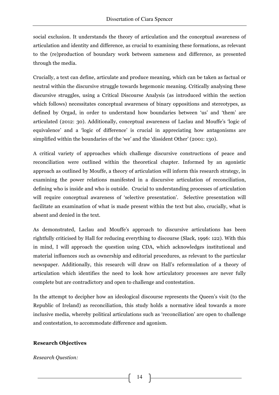social exclusion. It understands the theory of articulation and the conceptual awareness of articulation and identity and difference, as crucial to examining these formations, as relevant to the (re)production of boundary work between sameness and difference, as presented through the media.

Crucially, a text can define, articulate and produce meaning, which can be taken as factual or neutral within the discursive struggle towards hegemonic meaning. Critically analysing these discursive struggles, using a Critical Discourse Analysis (as introduced within the section which follows) necessitates conceptual awareness of binary oppositions and stereotypes, as defined by Orgad, in order to understand how boundaries between 'us' and 'them' are articulated (2012: 30). Additionally, conceptual awareness of Laclau and Mouffe's 'logic of equivalence' and a 'logic of difference' is crucial in appreciating how antagonisms are simplified within the boundaries of the 'we' and the 'dissident Other' (2001: 130).

A critical variety of approaches which challenge discursive constructions of peace and reconciliation were outlined within the theoretical chapter. Informed by an agonistic approach as outlined by Mouffe, a theory of articulation will inform this research strategy, in examining the power relations manifested in a discursive articulation of reconciliation, defining who is inside and who is outside. Crucial to understanding processes of articulation will require conceptual awareness of 'selective presentation'. Selective presentation will facilitate an examination of what is made present within the text but also, crucially, what is absent and denied in the text.

As demonstrated, Laclau and Mouffe's approach to discursive articulations has been rightfully criticised by Hall for reducing everything to discourse (Slack, 1996: 122). With this in mind, I will approach the question using CDA, which acknowledges institutional and material influences such as ownership and editorial procedures, as relevant to the particular newspaper. Additionally, this research will draw on Hall's reformulation of a theory of articulation which identifies the need to look how articulatory processes are never fully complete but are contradictory and open to challenge and contestation.

In the attempt to decipher how an ideological discourse represents the Queen's visit (to the Republic of Ireland) as reconciliation, this study holds a normative ideal towards a more inclusive media, whereby political articulations such as 'reconciliation' are open to challenge and contestation, to accommodate difference and agonism.

# **Research Objectives**

*Research Question:*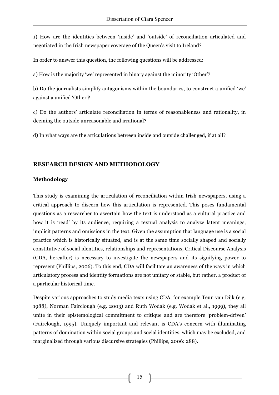1) How are the identities between 'inside' and 'outside' of reconciliation articulated and negotiated in the Irish newspaper coverage of the Queen's visit to Ireland?

In order to answer this question, the following questions will be addressed:

a) How is the majority 'we' represented in binary against the minority 'Other'?

b) Do the journalists simplify antagonisms within the boundaries, to construct a unified 'we' against a unified 'Other'?

c) Do the authors' articulate reconciliation in terms of reasonableness and rationality, in deeming the outside unreasonable and irrational?

d) In what ways are the articulations between inside and outside challenged, if at all?

# **RESEARCH DESIGN AND METHODOLOGY**

#### **Methodology**

This study is examining the articulation of reconciliation within Irish newspapers, using a critical approach to discern how this articulation is represented. This poses fundamental questions as a researcher to ascertain how the text is understood as a cultural practice and how it is 'read' by its audience, requiring a textual analysis to analyze latent meanings, implicit patterns and omissions in the text. Given the assumption that language use is a social practice which is historically situated, and is at the same time socially shaped and socially constitutive of social identities, relationships and representations, Critical Discourse Analysis (CDA, hereafter) is necessary to investigate the newspapers and its signifying power to represent (Phillips, 2006). To this end, CDA will facilitate an awareness of the ways in which articulatory process and identity formations are not unitary or stable, but rather, a product of a particular historical time.

Despite various approaches to study media texts using CDA, for example Teun van Dijk (e.g. 1988), Norman Fairclough (e.g. 2003) and Ruth Wodak (e.g. Wodak et al., 1999), they all unite in their epistemological commitment to critique and are therefore 'problem-driven' (Fairclough, 1995). Uniquely important and relevant is CDA's concern with illuminating patterns of domination within social groups and social identities, which may be excluded, and marginalized through various discursive strategies (Phillips, 2006: 288).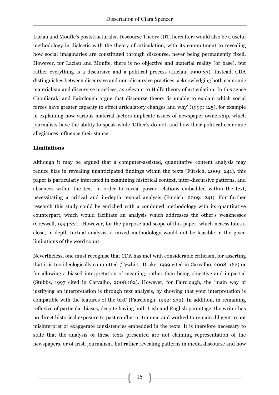Laclau and Mouffe's poststructuralist Discourse Theory (DT, hereafter) would also be a useful methodology in dialectic with the theory of articulation, with its commitment to revealing how social imaginaries are constituted through discourse, never being permanently fixed. However, for Laclau and Mouffe, there is no objective and material reality (or base), but rather everything is a discursive and a political process (Laclau, 1990:33). Instead, CDA distinguishes between discursive and non-discursive practices, acknowledging both economic materialism and discursive practices, as relevant to Hall's theory of articulation. In this sense Chouliaraki and Fairclough argue that discourse theory 'is unable to explain which social forces have greater capacity to effect articulatory changes and why' (1999: 125), for example in explaining how various material factors implicate issues of newspaper ownership, which journalists have the ability to speak while 'Other's do not, and how their political-economic allegiances influence their stance.

# **Limitations**

Although it may be argued that a computer-assisted, quantitative content analysis may reduce bias in revealing unanticipated findings within the texts (Fürsich, 2009: 241), this paper is particularly interested in examining historical context, inter-discursive patterns, and absences within the text, in order to reveal power relations embedded within the text, necessitating a critical and in-depth textual analysis (Fürsich, 2009: 241). For further research this study could be enriched with a combined methodology with its quantitative counterpart, which would facilitate an analysis which addresses the other's weaknesses (Creswell, 1994:22). However, for the purpose and scope of this paper, which necessitates a close, in-depth textual analysis, a mixed methodology would not be feasible in the given limitations of the word count.

Nevertheless, one must recognise that CDA has met with considerable criticism, for asserting that it is too ideologically committed (Tywhitt- Drake, 1999 cited in Carvalho, 2008: 162) or for allowing a biased interpretation of meaning, rather than being objective and impartial (Stubbs, 1997 cited in Carvalho, 2008:162). However, for Fairclough, the 'main way of justifying an interpretation is through text analysis, by showing that your interpretation is compatible with the features of the text' (Fairclough, 1992: 232). In addition, in remaining reflexive of particular biases, despite having both Irish and English parentage, the writer has no direct historical exposure to past conflict or trauma, and worked to remain diligent to not misinterpret or exaggerate consistencies embedded in the texts. It is therefore necessary to state that the analysis of these texts presented are not claiming representation of the newspapers, or of Irish journalism, but rather revealing patterns in media discourse and how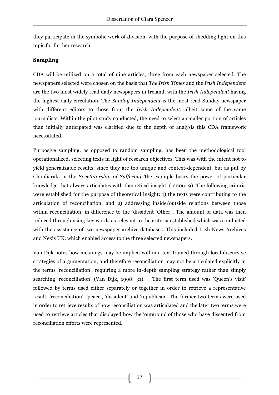they participate in the symbolic work of division, with the purpose of shedding light on this topic for further research.

### **Sampling**

CDA will be utilized on a total of nine articles, three from each newspaper selected. The newspapers selected were chosen on the basis that *The Irish Times* and the *Irish Independent* are the two most widely read daily newspapers in Ireland, with the *Irish Independent* having the highest daily circulation. The *Sunday Independent* is the most read Sunday newspaper with different editors to those from the *Irish Independent*, albeit some of the same journalists. Within the pilot study conducted, the need to select a smaller portion of articles than initially anticipated was clarified due to the depth of analysis this CDA framework necessitated.

Purposive sampling, as opposed to random sampling, has been the methodological tool operationalized, selecting texts in light of research objectives. This was with the intent not to yield generalizable results, since they are too unique and context-dependent, but as put by Chouliaraki in the *Spectatorship of Suffering* 'the example bears the power of particular knowledge that always articulates with theoretical insight' ( 2006: 9). The following criteria were established for the purpose of theoretical insight: 1) the texts were contributing to the articulation of reconciliation, and 2) addressing inside/outside relations between those within reconciliation, in difference to the 'dissident 'Other''. The amount of data was then reduced through using key words as relevant to the criteria established which was conducted with the assistance of two newspaper archive databases. This included Irish News Archives and Nexis UK, which enabled access to the three selected newspapers.

Van Dijk notes how meanings may be implicit within a text framed through local discursive strategies of argumentation, and therefore reconciliation may not be articulated explicitly in the terms 'reconciliation', requiring a more in-depth sampling strategy rather than simply searching 'reconciliation' (Van Dijk, 1998: 31). The first term used was 'Queen's visit' followed by terms used either separately or together in order to retrieve a representative result: 'reconciliation', 'peace', 'dissident' and 'republican'. The former two terms were used in order to retrieve results of how reconciliation was articulated and the later two terms were used to retrieve articles that displayed how the 'outgroup' of those who have dissented from reconciliation efforts were represented.

17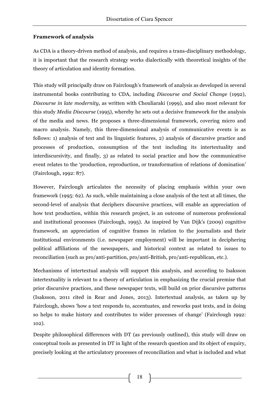### **Framework of analysis**

As CDA is a theory-driven method of analysis, and requires a trans-disciplinary methodology, it is important that the research strategy works dialectically with theoretical insights of the theory of articulation and identity formation.

This study will principally draw on Fairclough's framework of analysis as developed in several instrumental books contributing to CDA, including *Discourse and Social Change* (1992), *Discourse in late modernity,* as written with Chouliaraki (1999), and also most relevant for this study *Media Discourse* (1995)*,* whereby he sets out a decisive framework for the analysis of the media and news. He proposes a three-dimensional framework, covering micro and macro analysis. Namely, this three-dimensional analysis of communicative events is as follows: 1) analysis of text and its linguistic features, 2) analysis of discursive practice and processes of production, consumption of the text including its intertextuality and interdiscursivity, and finally, 3) as related to social practice and how the communicative event relates to the 'production, reproduction, or transformation of relations of domination' (Fairclough, 1992: 87).

However, Fairclough articulates the necessity of placing emphasis within your own framework (1995: 62). As such, while maintaining a close analysis of the text at all times, the second-level of analysis that deciphers discursive practices, will enable an appreciation of how text production, within this research project, is an outcome of numerous professional and institutional processes (Fairclough, 1995). As inspired by Van Dijk's (2009) cognitive framework, an appreciation of cognitive frames in relation to the journalists and their institutional environments (i.e. newspaper employment) will be important in deciphering political affiliations of the newspapers, and historical context as related to issues to reconciliation (such as pro/anti-partition, pro/anti-British, pro/anti-republican, etc.).

Mechanisms of intertextual analysis will support this analysis, and according to Isaksson intertextuality is relevant to a theory of articulation in emphasizing the crucial premise that prior discursive practices, and these newspaper texts, will build on prior discursive patterns (Isaksson, 2011 cited in Rear and Jones, 2013). Intertextual analysis, as taken up by Fairclough, shows 'how a text responds to, accentuates, and reworks past texts, and in doing so helps to make history and contributes to wider processes of change' (Fairclough 1992: 102).

Despite philosophical differences with DT (as previously outlined), this study will draw on conceptual tools as presented in DT in light of the research question and its object of enquiry, precisely looking at the articulatory processes of reconciliation and what is included and what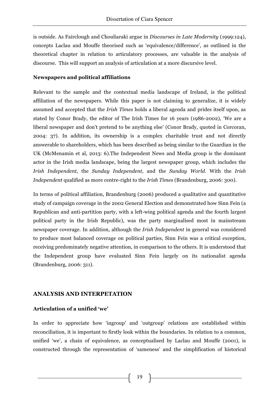is outside. As Fairclough and Chouliaraki argue in *Discourses in Late Modernity* (1999:124), concepts Laclau and Mouffe theorised such as 'equivalence/difference', as outlined in the theoretical chapter in relation to articulatory processes, are valuable in the analysis of discourse. This will support an analysis of articulation at a more discursive level.

#### **Newspapers and political affiliations**

Relevant to the sample and the contextual media landscape of Ireland, is the political affiliation of the newspapers. While this paper is not claiming to generalize, it is widely assumed and accepted that the *Irish Times* holds a liberal agenda and prides itself upon, as stated by Conor Brady, the editor of The Irish Times for 16 years (1986-2002), 'We are a liberal newspaper and don't pretend to be anything else' (Conor Brady, quoted in Corcoran, 2004: 37). In addition, its ownership is a complex charitable trust and not directly answerable to shareholders, which has been described as being similar to the Guardian in the UK (McMenamin et al, 2013: 6).The Independent News and Media group is the dominant actor in the Irish media landscape, being the largest newspaper group, which includes the *Irish Independent,* the *Sunday Independent,* and the *Sunday World.* With the *Irish Independent* qualified as more centre-right to the *Irish Times* (Brandenburg, 2006: 300).

In terms of political affiliation, Brandenburg (2006) produced a qualitative and quantitative study of campaign coverage in the 2002 General Election and demonstrated how Sinn Fein (a Republican and anti-partition party, with a left-wing political agenda and the fourth largest political party in the Irish Republic), was the party marginalised most in mainstream newspaper coverage. In addition, although the *Irish Independent* in general was considered to produce most balanced coverage on political parties, Sinn Fein was a critical exception, receiving predominately negative attention, in comparison to the others. It is understood that the Independent group have evaluated Sinn Fein largely on its nationalist agenda (Brandenburg, 2006: 311)*.* 

#### **ANALYSIS AND INTERPETATION**

#### **Articulation of a unified 'we'**

In order to appreciate how 'ingroup' and 'outgroup' relations are established within reconciliation, it is important to firstly look within the boundaries. In relation to a common, unified 'we', a chain of equivalence, as conceptualised by Laclau and Mouffe (2001), is constructed through the representation of 'sameness' and the simplification of historical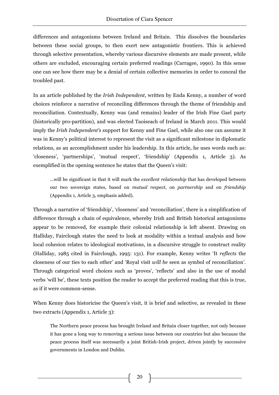differences and antagonisms between Ireland and Britain. This dissolves the boundaries between these social groups, to then exert new antagonistic frontiers. This is achieved through selective presentation, whereby various discursive elements are made present, while others are excluded, encouraging certain preferred readings (Carragee, 1990). In this sense one can see how there may be a denial of certain collective memories in order to conceal the troubled past.

In an article published by the *Irish Independent*, written by Enda Kenny, a number of word choices reinforce a narrative of reconciling differences through the theme of friendship and reconciliation. Contextually, Kenny was (and remains) leader of the Irish Fine Gael party (historically pro-partition), and was elected Taoiseach of Ireland in March 2011. This would imply the *Irish Independent'*s support for Kenny and Fine Gael, while also one can assume it was in Kenny's political interest to represent the visit as a significant milestone in diplomatic relations, as an accomplishment under his leadership. In this article, he uses words such as: 'closeness', 'partnerships', 'mutual respect', 'friendship' (Appendix 1, Article 3). As exemplified in the opening sentence he states that the Queen's visit:

…will be significant in that it will mark the *excellent relationship* that has developed between our two sovereign states, based on *mutual respect*, on *partnership* and on *friendship* (Appendix 1, Article 3, emphasis added).

Through a narrative of 'friendship', 'closeness' and 'reconciliation', there is a simplification of difference through a chain of equivalence, whereby Irish and British historical antagonisms appear to be removed, for example their colonial relationship is left absent. Drawing on Halliday, Fairclough states the need to look at modality within a textual analysis and how local cohesion relates to ideological motivations, in a discursive struggle to construct reality (Halliday, 1985 cited in Fairclough, 1995: 131). For example, Kenny writes 'It *reflects* the closeness of our ties to each other' and 'Royal visit *will be* seen as symbol of reconciliation'. Through categorical word choices such as 'proves', 'reflects' and also in the use of modal verbs 'will be', these texts position the reader to accept the preferred reading that this is true, as if it were common-sense.

When Kenny does historicise the Queen's visit, it is brief and selective, as revealed in these two extracts (Appendix 1, Article 3):

The Northern peace process has brought Ireland and Britain closer together, not only because it has gone a long way to removing a serious issue between our countries but also because the peace process itself was necessarily a joint British-Irish project, driven jointly by successive governments in London and Dublin.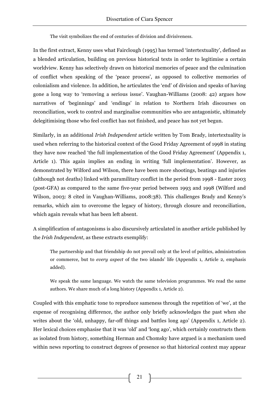The visit symbolizes the end of centuries of division and divisiveness.

In the first extract, Kenny uses what Fairclough (1995) has termed 'intertextuality', defined as a blended articulation, building on previous historical texts in order to legitimise a certain worldview. Kenny has selectively drawn on historical memories of peace and the culmination of conflict when speaking of the 'peace process', as opposed to collective memories of colonialism and violence. In addition, he articulates the 'end' of division and speaks of having gone a long way to 'removing a serious issue'. Vaughan-Williams (2008: 42) argues how narratives of 'beginnings' and 'endings' in relation to Northern Irish discourses on reconciliation, work to control and marginalise communities who are antagonistic, ultimately delegitimising those who feel conflict has not finished, and peace has not yet begun.

Similarly, in an additional *Irish Independent* article written by Tom Brady, intertextuality is used when referring to the historical context of the Good Friday Agreement of 1998 in stating they have now reached 'the full implementation of the Good Friday Agreement' (Appendix 1, Article 1). This again implies an ending in writing 'full implementation'. However, as demonstrated by Wilford and Wilson, there have been more shootings, beatings and injuries (although not deaths) linked with paramilitary conflict in the period from 1998 - Easter 2003 (post-GFA) as compared to the same five-year period between 1993 and 1998 (Wilford and Wilson, 2003: 8 cited in Vaughan-Williams, 2008:38). This challenges Brady and Kenny's remarks, which aim to overcome the legacy of history, through closure and reconciliation, which again reveals what has been left absent.

A simplification of antagonisms is also discursively articulated in another article published by the *Irish Independent*, as these extracts exemplify:

The partnership and that friendship do not prevail only at the level of politics, administration or commerce, but to *every aspect* of the two islands' life (Appendix 1, Article 2, emphasis added).

We speak the same language. We watch the same television programmes. We read the same authors. We share much of a long history (Appendix 1, Article 2).

Coupled with this emphatic tone to reproduce sameness through the repetition of 'we', at the expense of recognising difference, the author only briefly acknowledges the past when she writes about the 'old, unhappy, far-off things and battles long ago' (Appendix 1, Article 2). Her lexical choices emphasise that it was 'old' and 'long ago', which certainly constructs them as isolated from history, something Herman and Chomsky have argued is a mechanism used within news reporting to construct degrees of presence so that historical context may appear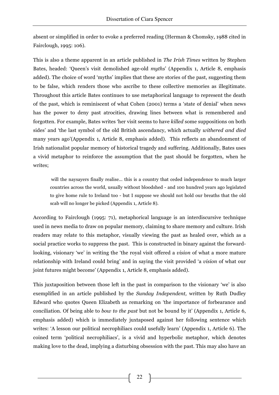absent or simplified in order to evoke a preferred reading (Herman & Chomsky, 1988 cited in Fairclough, 1995: 106).

This is also a theme apparent in an article published in *The Irish Times* written by Stephen Bates, headed: 'Queen's visit demolished age-old *myths*' (Appendix 1, Article 8, emphasis added). The choice of word 'myths' implies that these are stories of the past, suggesting them to be false, which renders those who ascribe to these collective memories as illegitimate. Throughout this article Bates continues to use metaphorical language to represent the death of the past, which is reminiscent of what Cohen (2001) terms a 'state of denial' when news has the power to deny past atrocities, drawing lines between what is remembered and forgotten. For example, Bates writes 'her visit seems to have *killed* some suppositions on both sides' and 'the last symbol of the old British ascendancy, which actually *withered and died* many years ago'(Appendix 1, Article 8, emphasis added). This reflects an abandonment of Irish nationalist popular memory of historical tragedy and suffering. Additionally, Bates uses a vivid metaphor to reinforce the assumption that the past should be forgotten, when he writes;

will the naysayers finally realise... this is a country that ceded independence to much larger countries across the world, usually without bloodshed - and 100 hundred years ago legislated to give home rule to Ireland too - but I suppose we should not hold our breaths that the old scab will no longer be picked (Appendix 1, Article 8).

According to Fairclough (1995: 71), metaphorical language is an interdiscursive technique used in news media to draw on popular memory, claiming to share memory and culture. Irish readers may relate to this metaphor, visually viewing the past as healed over, which as a social practice works to suppress the past. This is constructed in binary against the forwardlooking, visionary 'we' in writing the 'the royal visit offered a *vision* of what a more mature relationship with Ireland could bring' and in saying the visit provided 'a *vision* of what our joint futures might become' (Appendix 1, Article 8, emphasis added).

This juxtaposition between those left in the past in comparison to the visionary 'we' is also exemplified in an article published by the *Sunday Independent,* written by Ruth Dudley Edward who quotes Queen Elizabeth as remarking on 'the importance of forbearance and conciliation. Of being able to *bow to the past* but not be bound by it' (Appendix 1, Article 6, emphasis added) which is immediately juxtaposed against her following sentence which writes: 'A lesson our political necrophiliacs could usefully learn' (Appendix 1, Article 6). The coined term 'political necrophiliacs', is a vivid and hyperbolic metaphor, which denotes making love to the dead, implying a disturbing obsession with the past. This may also have an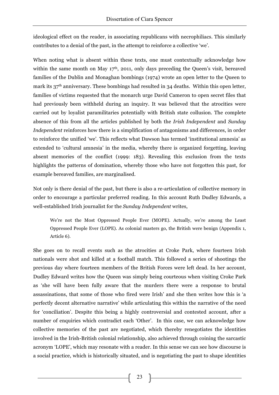ideological effect on the reader, in associating republicans with necrophiliacs. This similarly contributes to a denial of the past, in the attempt to reinforce a collective 'we'.

When noting what is absent within these texts, one must contextually acknowledge how within the same month on May  $17<sup>th</sup>$ , 2011, only days preceding the Queen's visit, bereaved families of the Dublin and Monaghan bombings (1974) wrote an open letter to the Queen to mark its 37<sup>th</sup> anniversary. These bombings had resulted in 34 deaths. Within this open letter, families of victims requested that the monarch urge David Cameron to open secret files that had previously been withheld during an inquiry. It was believed that the atrocities were carried out by loyalist paramilitaries potentially with British state collusion. The complete absence of this from all the articles published by both the *Irish Independent* and *Sunday Independent* reinforces how there is a simplification of antagonisms and differences, in order to reinforce the unified 'we'. This reflects what Dawson has termed 'institutional amnesia' as extended to 'cultural amnesia' in the media, whereby there is organized forgetting, leaving absent memories of the conflict (1999: 183). Revealing this exclusion from the texts highlights the patterns of domination, whereby those who have not forgotten this past, for example bereaved families, are marginalised.

Not only is there denial of the past, but there is also a re-articulation of collective memory in order to encourage a particular preferred reading. In this account Ruth Dudley Edwards, a well-established Irish journalist for the *Sunday Independent* writes,

We're not the Most Oppressed People Ever (MOPE). Actually, we're among the Least Oppressed People Ever (LOPE). As colonial masters go, the British were benign (Appendix 1, Article 6).

She goes on to recall events such as the atrocities at Croke Park, where fourteen Irish nationals were shot and killed at a football match. This followed a series of shootings the previous day where fourteen members of the British Forces were left dead. In her account, Dudley Edward writes how the Queen was simply being courteous when visiting Croke Park as 'she will have been fully aware that the murders there were a response to brutal assassinations, that some of those who fired were Irish' and she then writes how this is 'a perfectly decent alternative narrative' while articulating this within the narrative of the need for 'conciliation'. Despite this being a highly controversial and contested account, after a number of enquiries which contradict each 'Other'. In this case, we can acknowledge how collective memories of the past are negotiated, which thereby renegotiates the identities involved in the Irish-British colonial relationship, also achieved through coining the sarcastic acronym 'LOPE', which may resonate with a reader. In this sense we can see how discourse is a social practice, which is historically situated, and is negotiating the past to shape identities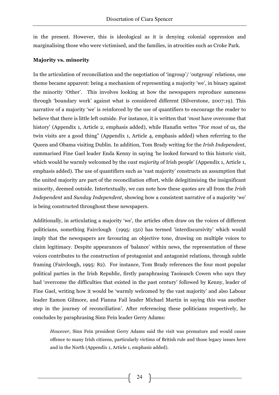in the present. However, this is ideological as it is denying colonial oppression and marginalising those who were victimised, and the families, in atrocities such as Croke Park.

#### **Majority vs. minority**

In the articulation of reconciliation and the negotiation of 'ingroup'/ 'outgroup' relations, one theme became apparent: being a mechanism of representing a majority 'we', in binary against the minority 'Other'. This involves looking at how the newspapers reproduce sameness through 'boundary work' against what is considered different (Silverstone, 2007:19). This narrative of a majority 'we' is reinforced by the use of quantifiers to encourage the reader to believe that there is little left outside. For instance, it is written that '*most* have overcome that history' (Appendix 1, Article 2, emphasis added), while Hanafin writes "For *most* of us, the twin visits are a good thing" (Appendix 1, Article 4, emphasis added) when referring to the Queen and Obama visiting Dublin. In addition, Tom Brady writing for the *Irish Independent*, summarised Fine Gael leader Enda Kenny in saying 'he looked forward to this historic visit, which would be warmly welcomed by the *vast majority* of Irish people' (Appendix 1, Article 1, emphasis added). The use of quantifiers such as 'vast majority' constructs an assumption that the united majority are part of the reconciliation effort, while delegitimising the insignificant minority, deemed outside. Intertextually, we can note how these quotes are all from the *Irish Independent* and *Sunday Independent*, showing how a consistent narrative of a majority 'we' is being constructed throughout these newspapers.

Additionally, in articulating a majority 'we', the articles often draw on the voices of different politicians, something Fairclough (1995: 150) has termed 'interdiscursivity' which would imply that the newspapers are favouring an objective tone, drawing on multiple voices to claim legitimacy. Despite appearances of 'balance' within news, the representation of these voices contributes to the construction of protagonist and antagonist relations, through subtle framing (Fairclough, 1995: 82). For instance, Tom Brady references the four most popular political parties in the Irish Republic, firstly paraphrasing Taoieasch Cowen who says they had 'overcome the difficulties that existed in the past century' followed by Kenny, leader of Fine Gael, writing how it would be 'warmly welcomed by the vast majority' and also Labour leader Eamon Gilmore, and Fianna Fail leader Michael Martin in saying this was another step in the journey of reconciliation'. After referencing these politicians respectively, he concludes by paraphrasing Sinn Fein leader Gerry Adams:

*However*, Sinn Fein president Gerry Adams said the visit was premature and would cause offence to many Irish citizens, particularly victims of British rule and those legacy issues here and in the North (Appendix 1, Article 1, emphasis added).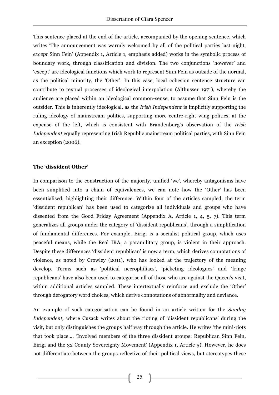This sentence placed at the end of the article, accompanied by the opening sentence, which writes 'The announcement was warmly welcomed by all of the political parties last night, *except* Sinn Fein' (Appendix 1, Article 1, emphasis added) works in the symbolic process of boundary work, through classification and division. The two conjunctions 'however' and 'except' are ideological functions which work to represent Sinn Fein as outside of the normal, as the political minority, the 'Other'. In this case, local cohesion sentence structure can contribute to textual processes of ideological interpolation (Althusser 1971), whereby the audience are placed within an ideological common-sense, to assume that Sinn Fein is the outsider. This is inherently ideological, as the *Irish Independent* is implicitly supporting the ruling ideology of mainstream politics, supporting more centre-right wing politics, at the expense of the left, which is consistent with Brandenburg's observation of the *Irish Independent* equally representing Irish Republic mainstream political parties, with Sinn Fein an exception (2006).

#### **The 'dissident Other'**

In comparison to the construction of the majority, unified 'we', whereby antagonisms have been simplified into a chain of equivalences, we can note how the 'Other' has been essentialised, highlighting their difference. Within four of the articles sampled, the term 'dissident republican' has been used to categorize all individuals and groups who have dissented from the Good Friday Agreement (Appendix A, Article 1, 4, 5, 7). This term generalizes all groups under the category of 'dissident republicans', through a simplification of fundamental differences. For example, Eirigi is a socialist political group, which uses peaceful means, while the Real IRA, a paramilitary group, is violent in their approach. Despite these differences 'dissident republican' is now a term, which derives connotations of violence, as noted by Crowley (2011), who has looked at the trajectory of the meaning develop. Terms such as 'political necrophiliacs', 'picketing ideologues' and 'fringe republicans' have also been used to categorise all of those who are against the Queen's visit, within additional articles sampled. These intertextually reinforce and exclude the 'Other' through derogatory word choices, which derive connotations of abnormality and deviance.

An example of such categorisation can be found in an article written for the *Sunday Independent,* where Cusack writes about the rioting of 'dissident republicans' during the visit, but only distinguishes the groups half way through the article. He writes 'the mini-riots that took place…. 'Involved members of the three dissident groups: Republican Sinn Fein, Eirigi and the 32 County Sovereignty Movement' (Appendix 1, Article 5). However, he does not differentiate between the groups reflective of their political views, but stereotypes these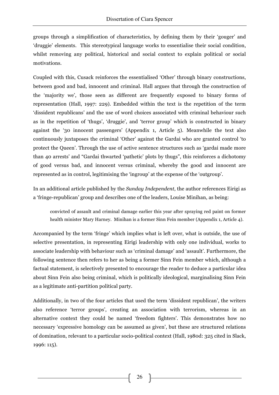groups through a simplification of characteristics, by defining them by their 'gouger' and 'druggie' elements. This stereotypical language works to essentialise their social condition, whilst removing any political, historical and social context to explain political or social motivations.

Coupled with this, Cusack reinforces the essentialised 'Other' through binary constructions, between good and bad, innocent and criminal. Hall argues that through the construction of the 'majority we', those seen as different are frequently exposed to binary forms of representation (Hall, 1997: 229). Embedded within the text is the repetition of the term 'dissident republicans' and the use of word choices associated with criminal behaviour such as in the repetition of 'thugs', 'druggie', and 'terror group' which is constructed in binary against the '30 innocent passengers' (Appendix 1, Article 5). Meanwhile the text also continuously juxtaposes the criminal 'Other' against the Gardai who are granted control 'to protect the Queen'. Through the use of active sentence structures such as 'gardai made more than 40 arrests' and "Gardai thwarted 'pathetic' plots by thugs", this reinforces a dichotomy of good versus bad, and innocent versus criminal, whereby the good and innocent are represented as in control, legitimising the 'ingroup' at the expense of the 'outgroup'.

In an additional article published by the *Sunday Independent*, the author references Eirigi as a 'fringe-republican' group and describes one of the leaders, Louise Minihan, as being:

convicted of assault and criminal damage earlier this year after spraying red paint on former health minister Mary Harney. Minihan is a former Sinn Fein member (Appendix 1, Article 4).

Accompanied by the term 'fringe' which implies what is left over, what is outside, the use of selective presentation, in representing Eirigi leadership with only one individual, works to associate leadership with behaviour such as 'criminal damage' and 'assault'. Furthermore, the following sentence then refers to her as being a former Sinn Fein member which, although a factual statement, is selectively presented to encourage the reader to deduce a particular idea about Sinn Fein also being criminal, which is politically ideological, marginalising Sinn Fein as a legitimate anti-partition political party.

Additionally, in two of the four articles that used the term 'dissident republican', the writers also reference 'terror groups', creating an association with terrorism, whereas in an alternative context they could be named 'freedom fighters'. This demonstrates how no necessary 'expressive homology can be assumed as given', but these are structured relations of domination, relevant to a particular socio-political context (Hall, 1980d: 325 cited in Slack, 1996: 115).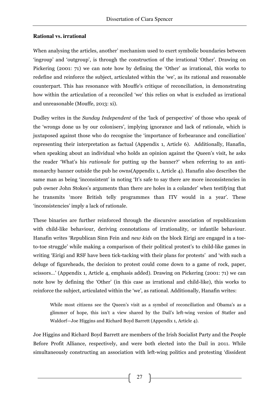#### **Rational vs. irrational**

When analysing the articles, another' mechanism used to exert symbolic boundaries between 'ingroup' and 'outgroup', is through the construction of the irrational 'Other'. Drawing on Pickering (2001: 71) we can note how by defining the 'Other' as irrational, this works to redefine and reinforce the subject, articulated within the 'we', as its rational and reasonable counterpart. This has resonance with Mouffe's critique of reconciliation, in demonstrating how within the articulation of a reconciled 'we' this relies on what is excluded as irrational and unreasonable (Mouffe, 2013: xi).

Dudley writes in the *Sunday Independent* of the 'lack of perspective' of those who speak of the 'wrongs done us by our colonisers', implying ignorance and lack of rationale, which is juxtaposed against those who do recognise the 'importance of forbearance and conciliation' representing their interpretation as factual (Appendix 1, Article 6). Additionally, Hanafin, when speaking about an individual who holds an opinion against the Queen's visit, he asks the reader 'What's his *rationale* for putting up the banner?' when referring to an antimonarchy banner outside the pub he owns(Appendix 1, Article 4). Hanafin also describes the same man as being 'inconsistent' in noting 'It's safe to say there are more inconsistencies in pub owner John Stokes's arguments than there are holes in a colander' when testifying that he transmits 'more British telly programmes than ITV would in a year'. These 'inconsistencies' imply a lack of rationale.

These binaries are further reinforced through the discursive association of republicanism with child-like behaviour, deriving connotations of irrationality, or infantile behaviour. Hanafin writes 'Republican Sinn Fein and *new kids* on the block Eirigi are engaged in a toeto-toe struggle' while making a comparison of their political protest's to child-like games in writing 'Eirigi and RSF have been tick-tacking with their plans for protests' and 'with such a deluge of figureheads, the decision to protest could come down to a game of rock, paper, scissors…' (Appendix 1, Article 4, emphasis added). Drawing on Pickering (2001: 71) we can note how by defining the 'Other' (in this case as irrational and child-like), this works to reinforce the subject, articulated within the 'we', as rational. Additionally, Hanafin writes:

While most citizens see the Queen's visit as a symbol of reconciliation and Obama's as a glimmer of hope, this isn't a view shared by the Dail's left-wing version of Statler and Waldorf—Joe Higgins and Richard Boyd Barrett (Appendix 1, Article 4).

Joe Higgins and Richard Boyd Barrett are members of the Irish Socialist Party and the People Before Profit Alliance, respectively, and were both elected into the Dail in 2011. While simultaneously constructing an association with left-wing politics and protesting 'dissident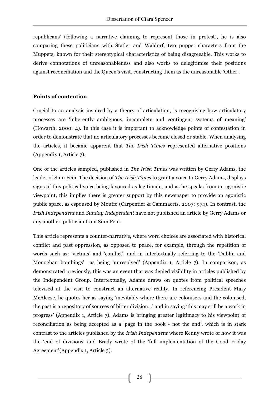republicans' (following a narrative claiming to represent those in protest), he is also comparing these politicians with Statler and Waldorf, two puppet characters from the Muppets, known for their stereotypical characteristics of being disagreeable. This works to derive connotations of unreasonableness and also works to delegitimise their positions against reconciliation and the Queen's visit, constructing them as the unreasonable 'Other'.

#### **Points of contention**

Crucial to an analysis inspired by a theory of articulation, is recognising how articulatory processes are 'inherently ambiguous, incomplete and contingent systems of meaning' (Howarth, 2000: 4). In this case it is important to acknowledge points of contestation in order to demonstrate that no articulatory processes become closed or stable. When analysing the articles, it became apparent that *The Irish Times* represented alternative positions (Appendix 1, Article 7).

One of the articles sampled, published in *The Irish Times* was written by Gerry Adams, the leader of Sinn Fein. The decision of *The Irish Times* to grant a voice to Gerry Adams, displays signs of this political voice being favoured as legitimate, and as he speaks from an agonistic viewpoint, this implies there is greater support by this newspaper to provide an agonistic public space, as espoused by Mouffe (Carpentier & Cammaerts, 2007: 974). In contrast, the *Irish Independent* and *Sunday Independent* have not published an article by Gerry Adams or any another' politician from Sinn Fein.

This article represents a counter-narrative, where word choices are associated with historical conflict and past oppression, as opposed to peace, for example, through the repetition of words such as: 'victims' and 'conflict', and in intertextually referring to the 'Dublin and Monoghan bombings' as being 'unresolved' (Appendix 1, Article 7). In comparison, as demonstrated previously, this was an event that was denied visibility in articles published by the Independent Group. Intertextually, Adams draws on quotes from political speeches televised at the visit to construct an alternative reality. In referencing President Mary McAleese, he quotes her as saying 'inevitably where there are colonisers and the colonised, the past is a repository of sources of bitter division…' and in saying 'this may still be a work in progress' (Appendix 1, Article 7). Adams is bringing greater legitimacy to his viewpoint of reconciliation as being accepted as a 'page in the book - not the end', which is in stark contrast to the articles published by the *Irish Independent* where Kenny wrote of how it was the 'end of divisions' and Brady wrote of the 'full implementation of the Good Friday Agreement'(Appendix 1, Article 3).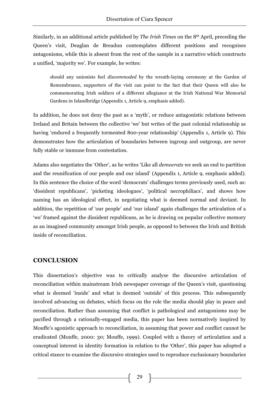Similarly, in an additional article published by *The Irish Times* on the 8th April*,* preceding the Queen's visit, Deaglan de Breadun contemplates different positions and recognises antagonisms, while this is absent from the rest of the sample in a narrative which constructs a unified, 'majority we'. For example, he writes:

should any unionists feel *discommoded* by the wreath-laying ceremony at the Garden of Remembrance, supporters of the visit can point to the fact that their Queen will also be commemorating Irish soldiers of a different allegiance at the Irish National War Memorial Gardens in Islandbridge (Appendix 1, Article 9, emphasis added).

In addition, he does not deny the past as a 'myth', or reduce antagonistic relations between Ireland and Britain between the collective 'we' but writes of the past colonial relationship as having 'endured a frequently tormented 800-year relationship' (Appendix 1, Article 9). This demonstrates how the articulation of boundaries between ingroup and outgroup, are never fully stable or immune from contestation.

Adams also negotiates the 'Other', as he writes 'Like all *democrats* we seek an end to partition and the reunification of our people and our island' (Appendix 1, Article 9, emphasis added). In this sentence the choice of the word 'democrats' challenges terms previously used, such as: 'dissident republicans', 'picketing ideologues', 'political necrophiliacs', and shows how naming has an ideological effect, in negotiating what is deemed normal and deviant. In addition, the repetition of 'our people' and 'our island' again challenges the articulation of a 'we' framed against the dissident republicans, as he is drawing on popular collective memory as an imagined community amongst Irish people, as opposed to between the Irish and British inside of reconciliation.

# **CONCLUSION**

This dissertation's objective was to critically analyse the discursive articulation of reconciliation within mainstream Irish newspaper coverage of the Queen's visit, questioning what is deemed 'inside' and what is deemed 'outside' of this process. This subsequently involved advancing on debates, which focus on the role the media should play in peace and reconciliation. Rather than assuming that conflict is pathological and antagonisms may be pacified through a rationally-engaged media, this paper has been normatively inspired by Mouffe's agonistic approach to reconciliation, in assuming that power and conflict cannot be eradicated (Mouffe, 2000: 30; Mouffe, 1999). Coupled with a theory of articulation and a conceptual interest in identity formation in relation to the 'Other', this paper has adopted a critical stance to examine the discursive strategies used to reproduce exclusionary boundaries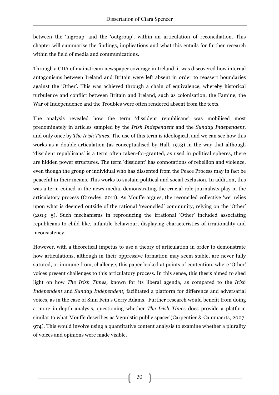between the 'ingroup' and the 'outgroup', within an articulation of reconciliation. This chapter will summarise the findings, implications and what this entails for further research within the field of media and communications.

Through a CDA of mainstream newspaper coverage in Ireland, it was discovered how internal antagonisms between Ireland and Britain were left absent in order to reassert boundaries against the 'Other'. This was achieved through a chain of equivalence, whereby historical turbulence and conflict between Britain and Ireland, such as colonisation, the Famine, the War of Independence and the Troubles were often rendered absent from the texts.

The analysis revealed how the term 'dissident republicans' was mobilised most predominately in articles sampled by the *Irish Independent* and the *Sunday Independent*, and only once by *The Irish Times*. The use of this term is ideological, and we can see how this works as a double-articulation (as conceptualised by Hall, 1973) in the way that although 'dissident republicans' is a term often taken-for-granted, as used in political spheres, there are hidden power structures. The term 'dissident' has connotations of rebellion and violence, even though the group or individual who has dissented from the Peace Process may in fact be peaceful in their means. This works to sustain political and social exclusion. In addition, this was a term coined in the news media, demonstrating the crucial role journalists play in the articulatory process (Crowley, 2011). As Mouffe argues, the reconciled collective 'we' relies upon what is deemed outside of the rational 'reconciled' community, relying on the 'Other' (2013: 5). Such mechanisms in reproducing the irrational 'Other' included associating republicans to child-like, infantile behaviour, displaying characteristics of irrationality and inconsistency.

However, with a theoretical impetus to use a theory of articulation in order to demonstrate how articulations, although in their oppressive formation may seem stable, are never fully sutured, or immune from, challenge, this paper looked at points of contention, where 'Other' voices present challenges to this articulatory process. In this sense, this thesis aimed to shed light on how *The Irish Times,* known for its liberal agenda, as compared to the *Irish Independent* and *Sunday Independent,* facilitated a platform for difference and adversarial voices, as in the case of Sinn Fein's Gerry Adams. Further research would benefit from doing a more in-depth analysis, questioning whether *The Irish Times* does provide a platform similar to what Mouffe describes as 'agonistic public spaces'(Carpentier & Cammaerts, 2007: 974). This would involve using a quantitative content analysis to examine whether a plurality of voices and opinions were made visible.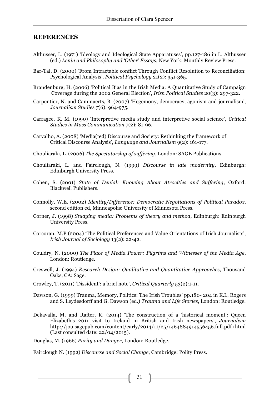#### **REFERENCES**

- Althusser, L. (1971) 'Ideology and Ideological State Apparatuses', pp.127-186 in L. Althusser (ed.) *Lenin and Philosophy and 'Other' Essays*, New York: Monthly Review Press.
- Bar-Tal, D. (2000) 'From Intractable conflict Through Conflict Resolution to Reconciliation: Psychological Analysis', *Political Psychology* 21(2): 351-365.
- Brandenburg, H. (2006) 'Political Bias in the Irish Media: A Quantitative Study of Campaign Coverage during the 2002 General Election', *Irish Political Studies* 20(3): 297-322.
- Carpentier, N. and Cammaerts, B. (2007) 'Hegemony, democracy, agonism and journalism', *Journalism Studies 7*(6): 964-975.
- Carragee, K. M. (1990) 'Interpretive media study and interpretive social science', *Critical Studies in Mass Communication* 7(2): 81-96.
- Carvalho, A. (2008) 'Media(ted) Discourse and Society: Rethinking the framework of Critical Discourse Analysis', *Language and Journalism* 9(2): 161-177.
- Chouliaraki, L. (2006) *The Spectatorship of suffering*, London: SAGE Publications.
- Chouliaraki, L. and Fairclough, N. (1999) *Discourse in late modernity*, Edinburgh: Edinburgh University Press.
- Cohen, S. (2001) *State of Denial: Knowing About Atrocities and Suffering*, Oxford: Blackwell Publishers.
- Connolly, W.E. (2002) *Identity/Difference: Democratic Negotiations of Political Paradox*, second edition ed, Minneapolis: University of Minnesota Press.
- Corner, J. (1998) *Studying media: Problems of theory and method*, Edinburgh: Edinburgh University Press.
- Corcoran, M.P (2004) 'The Political Preferences and Value Orientations of Irish Journalists', *Irish Journal of Sociology* 13(2): 22-42.
- Couldry, N. (2000) *The Place of Media Power: Pilgrims and Witnesses of the Media Age*, London: Routledge.
- Creswell, J. (1994) *Research Design: Qualitative and Quantitative Approaches*, Thousand Oaks, CA: Sage.
- Crowley, T. (2011) 'Dissident': a brief note', *Critical Quarterly* 53(2):1-11.
- Dawson, G. (1999)'Trauma, Memory, Politics: The Irish Troubles' pp.180- 204 in K.L. Rogers and S. Leydesdorff and G. Dawson (ed.) *Trauma and Life Stories*, London: Routledge.
- Dekavalla, M. and Rafter, K. (2014) 'The construction of a 'historical moment': Queen Elizabeth's 2011 visit to Ireland in British and Irish newspapers', *Journalism* http://jou.sagepub.com/content/early/2014/11/25/1464884914556456.full.pdf+html (Last consulted date: 22/04/2015).

Douglas, M. (1966) *Purity and Danger*, London: Routledge.

Fairclough N. (1992) *Discourse and Social Change*, Cambridge: Polity Press.

31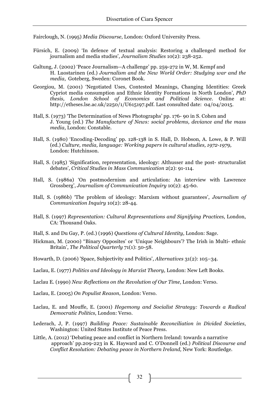Fairclough, N. (1995) *Media Discourse*, London: Oxford University Press.

- Fürsich, E. (2009) 'In defence of textual analysis: Restoring a challenged method for journalism and media studies', *Journalism Studies* 10(2): 238-252.
- Galtung, J. (2002) 'Peace Journalism--A challenge' pp. 259-272 in W, M. Kempf and H. Luostarinen (ed.) *Journalism and the New World Order: Studying war and the media*, Goteberg, Sweden: Coronet Book.
- Georgiou, M. (2001) 'Negotiated Uses, Contested Meanings, Changing Identities: Greek Cypriot media consumption and Ethnic Identity Formations in North London', *PhD thesis, London School of Economics and Political Science*. Online at: http://etheses.lse.ac.uk/2250/1/U615197.pdf. Last consulted date: 04/04/2015.
- Hall, S. (1973) 'The Determination of News Photographs' pp. 176- 90 in S. Cohen and J. Young (ed.) *The Manufacture of News: social problems, deviance and the mass media*, London: Constable.
- Hall, S. (1980) 'Encoding-Decoding' pp. 128-138 in S. Hall, D. Hobson, A. Lowe, & P. Will (ed.) *Culture, media, language: Working papers in cultural studies, 1972-1979,* London: Hutchinson.
- Hall, S. (1985) 'Signification, representation, ideology: Althusser and the post- structuralist debates', *Critical Studies in Mass Communication* 2(2): 91-114.
- Hall, S. (1986a) 'On postmodernism and articulation: An interview with Lawrence Grossberg', *Journalism of Communication Inquiry* 10(2): 45-60.
- Hall, S. (1986b) 'The problem of ideology: Marxism without guarantees', *Journalism of Communication Inquiry* 10(2): 28-44.
- Hall, S. (1997) *Representation: Cultural Representations and Signifying Practices,* London, CA: Thousand Oaks.
- Hall, S. and Du Gay, P. (ed.) (1996) *Questions of Cultural Identity,* London: Sage.
- Hickman, M. (2000) ''Binary Opposites' or 'Unique Neighbours'? The Irish in Multi- ethnic Britain', *The Political Quarterly* 71(1): 50-58.
- Howarth, D. (2006) 'Space, Subjectivity and Politics', *Alternatives* 31(2): 105–34.
- Laclau, E. (1977) *Politics and Ideology in Marxist Theory,* London: New Left Books.
- Laclau E. (1990) *New Reflections on the Revolution of Our Time*, London: Verso.

Laclau, E. (2005) *On Populist Reason*, London: Verso.

- Laclau, E. and Mouffe, E. (2001) *Hegemony and Socialist Strategy: Towards a Radical Democratic Politics*, London: Verso.
- Lederach, J, P. (1997) *Building Peace: Sustainable Reconciliation in Divided Societies*, Washington: United States Institute of Peace Press.
- Little, A. (2012) 'Debating peace and conflict in Northern Ireland: towards a narrative approach' pp.209-223 in K. Hayward and C. O'Donnell (ed.) *Political Discourse and Conflict Resolution: Debating peace in Northern Ireland,* New York: Routledge.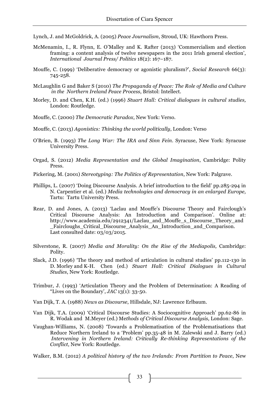Lynch, J. and McGoldrick, A. (2005) *Peace Journalism*, Stroud, UK: Hawthorn Press.

- McMenamin, I., R. Flynn, E. O'Malley and K. Rafter (2013) 'Commercialism and election framing: a content analysis of twelve newspapers in the 2011 Irish general election', *International Journal Press/ Politics* 18(2): 167–187.
- Mouffe, C. (1999) 'Deliberative democracy or agonistic pluralism?', *Social Research* 66(3): 745-258.
- McLaughlin G and Baker S (2010) *The Propaganda of Peace: The Role of Media and Culture in the Northern Ireland Peace Process*, Bristol: Intellect.
- Morley, D. and Chen, K.H. (ed.) (1996) *Stuart Hall: Critical dialogues in cultural studies,* London: Routledge.
- Mouffe, C. (2000) *The Democratic Paradox*, New York: Verso.
- Mouffe, C. (2013) *Agonistics: Thinking the world politically*, London: Verso
- O'Brien, B. (1993) *The Long War: The IRA and Sinn Fein*. Syracuse, New York: Syracuse University Press.
- Orgad, S. (2012) *Media Representation and the Global Imagination*, Cambridge: Polity Press.
- Pickering, M. (2001) *Stereotyping: The Politics of Representation*, New York: Palgrave.
- Phillips, L. (2007) 'Doing Discourse Analysis. A brief introduction to the field' pp.285-294 in N. Carpentier et al. (ed.) *Media technologies and democracy in an enlarged Europe,* Tartu: Tartu University Press.
- Rear, D. and Jones, A. (2013) 'Laclau and Mouffe's Discourse Theory and Fairclough's Critical Discourse Analysis: An Introduction and Comparison'. Online at: http://www.academia.edu/2912341/Laclau\_and\_Mouffe\_s\_Discourse\_Theory\_and \_Faircloughs\_Critical\_Discourse\_Analysis\_An\_Introduction\_and\_Comparison. Last consulted date: 03/03/2015.
- Silverstone, R. (2007) *Media and Morality: On the Rise of the Mediapolis,* Cambridge: Polity.
- Slack, J.D. (1996) 'The theory and method of articulation in cultural studies' pp.112-130 in D. Morley and K-H. Chen (ed.) *Stuart Hall: Critical Dialogues in Cultural Studies*, New York: Routledge.
- Trimbur, J. (1993) 'Articulation Theory and the Problem of Determination: A Reading of "Lives on the Boundary',  $JAC$  13(1): 33-50.
- Van Dijk, T. A. (1988) *News as Discourse*, Hillsdale, NJ: Lawrence Erlbaum.
- Van Dijk, T.A. (2009) 'Critical Discourse Studies: A Sociocognitive Approach' pp.62-86 in R. Wodak and M.Meyer (ed.) Me*thods of Critical Discourse Analysis,* London: Sage.
- Vaughan-Williams, N. (2008) 'Towards a Problematisation of the Problematisations that Reduce Northern Ireland to a 'Problem' pp.35-48 in M. Zalewski and J. Barry (ed.) *Intervening in Northern Ireland: Critically Re-thinking Representations of the Conflict*, New York: Routledge.
- Walker, B.M. (2012) *A political history of the two Irelands: From Partition to Peace*, New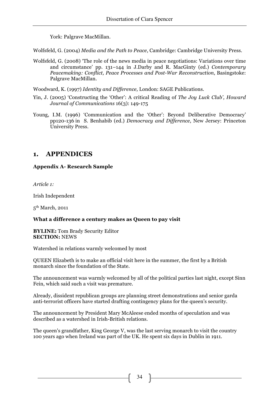York: Palgrave MacMillan.

Wolfsfeld, G. (2004) *Media and the Path to Peace*, Cambridge: Cambridge University Press.

Wolfsfeld, G. (2008) 'The role of the news media in peace negotiations: Variations over time and circumstance' pp. 131–144 in J.Darby and R. MacGinty (ed.) *Contemporary Peacemaking: Conflict, Peace Processes and Post-War Reconstruction*, Basingstoke: Palgrave MacMillan.

Woodward, K. (1997) *Identity and Difference,* London: SAGE Publications.

- Yin, J. (2005) 'Constructing the 'Other': A critical Reading of *The Joy Luck Club', Howard Journal of Communications* 16(3): 149-175
- Young, I.M. (1996) 'Communication and the 'Other': Beyond Deliberative Democracy' pp120-136 in S. Benhabib (ed.) *Democracy and Difference*, New Jersey: Princeton University Press.

# **1. APPENDICES**

# **Appendix A- Research Sample**

*Article 1:*

Irish Independent

5<sup>th</sup> March, 2011

#### **What a difference a century makes as Queen to pay visit**

**BYLINE:** Tom Brady Security Editor **SECTION:** NEWS

Watershed in relations warmly welcomed by most

QUEEN Elizabeth is to make an official visit here in the summer, the first by a British monarch since the foundation of the State.

The announcement was warmly welcomed by all of the political parties last night, except Sinn Fein, which said such a visit was premature.

Already, dissident republican groups are planning street demonstrations and senior garda anti-terrorist officers have started drafting contingency plans for the queen's security.

The announcement by President Mary McAleese ended months of speculation and was described as a watershed in Irish-British relations.

The queen's grandfather, King George V, was the last serving monarch to visit the country 100 years ago when Ireland was part of the UK. He spent six days in Dublin in 1911.

34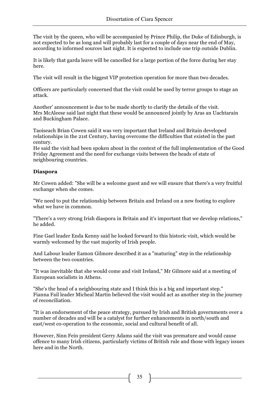The visit by the queen, who will be accompanied by Prince Philip, the Duke of Edinburgh, is not expected to be as long and will probably last for a couple of days near the end of May, according to informed sources last night. It is expected to include one trip outside Dublin.

It is likely that garda leave will be cancelled for a large portion of the force during her stay here.

The visit will result in the biggest VIP protection operation for more than two decades.

Officers are particularly concerned that the visit could be used by terror groups to stage an attack.

Another' announcement is due to be made shortly to clarify the details of the visit. Mrs McAleese said last night that these would be announced jointly by Aras an Uachtarain and Buckingham Palace.

Taoiseach Brian Cowen said it was very important that Ireland and Britain developed relationships in the 21st Century, having overcome the difficulties that existed in the past century.

He said the visit had been spoken about in the context of the full implementation of the Good Friday Agreement and the need for exchange visits between the heads of state of neighbouring countries.

#### **Diaspora**

Mr Cowen added: "She will be a welcome guest and we will ensure that there's a very fruitful exchange when she comes.

"We need to put the relationship between Britain and Ireland on a new footing to explore what we have in common.

"There's a very strong Irish diaspora in Britain and it's important that we develop relations," he added.

Fine Gael leader Enda Kenny said he looked forward to this historic visit, which would be warmly welcomed by the vast majority of Irish people.

And Labour leader Eamon Gilmore described it as a "maturing" step in the relationship between the two countries.

"It was inevitable that she would come and visit Ireland," Mr Gilmore said at a meeting of European socialists in Athens.

"She's the head of a neighbouring state and I think this is a big and important step." Fianna Fail leader Micheal Martin believed the visit would act as another step in the journey of reconciliation.

"It is an endorsement of the peace strategy, pursued by Irish and British governments over a number of decades and will be a catalyst for further enhancements in north/south and east/west co-operation to the economic, social and cultural benefit of all.

However, Sinn Fein president Gerry Adams said the visit was premature and would cause offence to many Irish citizens, particularly victims of British rule and those with legacy issues here and in the North.

35